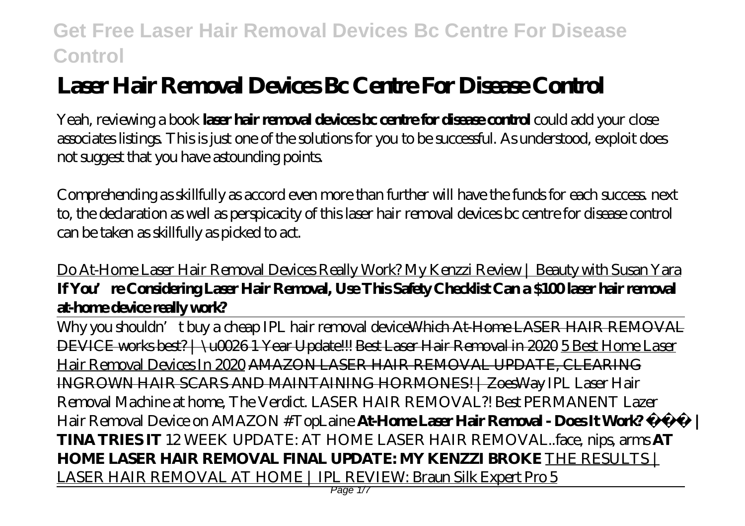# **Laser Hair Removal Devices Bc Centre For Disease Control**

Yeah, reviewing a book **laser hair removal devices bc centre for disease control** could add your close associates listings. This is just one of the solutions for you to be successful. As understood, exploit does not suggest that you have astounding points.

Comprehending as skillfully as accord even more than further will have the funds for each success. next to, the declaration as well as perspicacity of this laser hair removal devices bc centre for disease control can be taken as skillfully as picked to act.

#### Do At-Home Laser Hair Removal Devices Really Work? My Kenzzi Review | Beauty with Susan Yara **If You're Considering Laser Hair Removal, Use This Safety Checklist Can a \$100 laser hair removal at-home device really work?**

Why you shouldn't buy a cheap IPL hair removal deviceWhich At-Home LASER HAIR REMOVAL DEVICE works best? | \u0026 1 Year Update!!! Best Laser Hair Removal in 2020 5 Best Home Laser Hair Removal Devices In 2020 AMAZON LASER HAIR REMOVAL UPDATE, CLEARING INGROWN HAIR SCARS AND MAINTAINING HORMONES! | ZoesWay *IPL Laser Hair Removal Machine at home, The Verdict. LASER HAIR REMOVAL?! Best PERMANENT Lazer Hair Removal Device on AMAZON #TopLaine* **At-Home Laser Hair Removal - Does It Work? | TINA TRIES IT** 12 WEEK UPDATE: AT HOME LASER HAIR REMOVAL..face, nips, arms **AT HOME LASER HAIR REMOVAL FINAL UPDATE: MY KENZZI BROKE** THE RESULTS | LASER HAIR REMOVAL AT HOME | IPL REVIEW: Braun Silk Expert Pro 5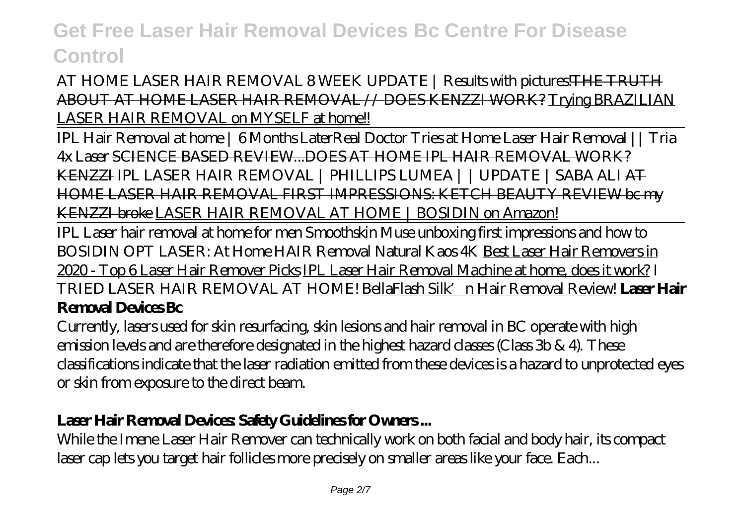#### AT HOME LASER HAIR REMOVAL 8 WEEK UPDATE | Results with pictures! THE TRUTH ABOUT AT HOME LASER HAIR REMOVAL // DOES KENZZI WORK? Trying BRAZILIAN LASER HAIR REMOVAL on MYSELF at home!!

IPL Hair Removal at home | 6 Months Later*Real Doctor Tries at Home Laser Hair Removal || Tria 4x Laser* SCIENCE BASED REVIEW...DOES AT HOME IPL HAIR REMOVAL WORK? KENZZI *IPL LASER HAIR REMOVAL | PHILLIPS LUMEA | | UPDATE | SABA ALI* AT HOME LASER HAIR REMOVAL FIRST IMPRESSIONS: KETCH BEAUTY REVIEW bc my KENZZI broke LASER HAIR REMOVAL AT HOME | BOSIDIN on Amazon!

IPL Laser hair removal at home for men Smoothskin Muse unboxing first impressions and how to *BOSIDIN OPT LASER: At Home HAIR Removal Natural Kaos 4K* Best Laser Hair Removers in 2020 - Top 6 Laser Hair Remover Picks IPL Laser Hair Removal Machine at home, does it work? *I TRIED LASER HAIR REMOVAL AT HOME!* BellaFlash Silk'n Hair Removal Review! **Laser Hair Removal Devices Bc**

Currently, lasers used for skin resurfacing, skin lesions and hair removal in BC operate with high emission levels and are therefore designated in the highest hazard classes (Class 3b & 4). These classifications indicate that the laser radiation emitted from these devices is a hazard to unprotected eyes or skin from exposure to the direct beam.

#### Laser **Hair Removal Devices Safety Guidelines for Owners...**

While the Imene Laser Hair Remover can technically work on both facial and body hair, its compact laser cap lets you target hair follicles more precisely on smaller areas like your face. Each...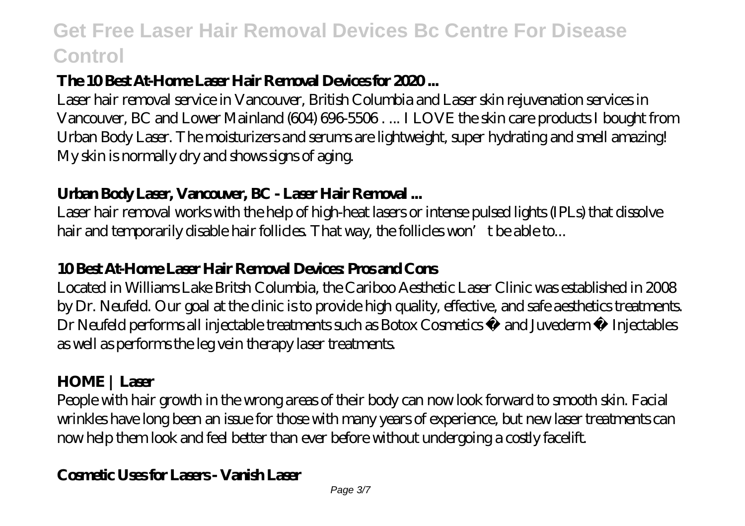#### **The 10 Best At-Home Laser Hair Removal Devices for 2020 ...**

Laser hair removal service in Vancouver, British Columbia and Laser skin rejuvenation services in Vancouver, BC and Lower Mainland (604) 696-5506 . ... I LOVE the skin care products I bought from Urban Body Laser. The moisturizers and serums are lightweight, super hydrating and smell amazing! My skin is normally dry and shows signs of aging.

#### **Urban Body Laser, Vancouver, BC - Laser Hair Removal ...**

Laser hair removal works with the help of high-heat lasers or intense pulsed lights (IPLs) that dissolve hair and temporarily disable hair follides. That way, the follides won't be able to...

#### **10 Best At-Home Laser Hair Removal Devices: Pros and Cons**

Located in Williams Lake Britsh Columbia, the Cariboo Aesthetic Laser Clinic was established in 2008 by Dr. Neufeld. Our goal at the clinic is to provide high quality, effective, and safe aesthetics treatments. Dr Neufeld performs all injectable treatments such as Botox Cosmetics ® and Juvederm ® Injectables as well as performs the leg vein therapy laser treatments.

### **HOME | Laser**

People with hair growth in the wrong areas of their body can now look forward to smooth skin. Facial wrinkles have long been an issue for those with many years of experience, but new laser treatments can now help them look and feel better than ever before without undergoing a costly facelift.

#### **Cosmetic Uses for Lasers - Vanish Laser**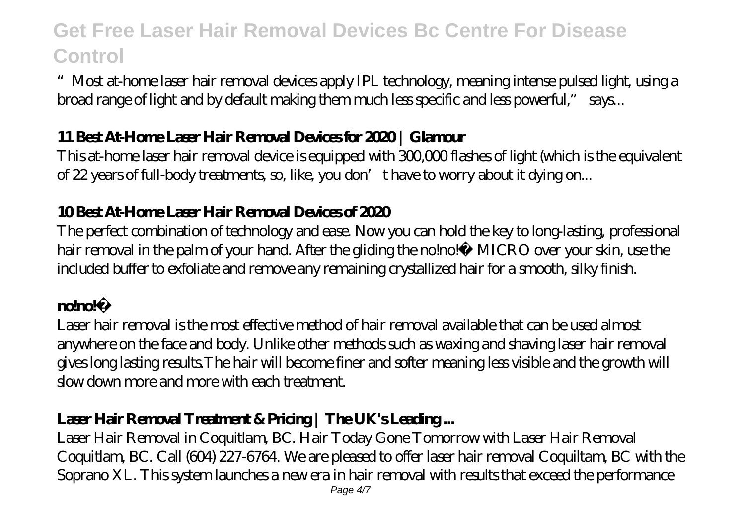"Most at-home laser hair removal devices apply IPL technology, meaning intense pulsed light, using a broad range of light and by default making them much less specific and less powerful," says...

#### **11 Best At-Home Laser Hair Removal Devices for 2020 | Glamour**

This at-home laser hair removal device is equipped with 300,000 flashes of light (which is the equivalent of 22 years of full-body treatments, so, like, you don't have to worry about it dying on...

#### **10 Best At-Home Laser Hair Removal Devices of 2020**

The perfect combination of technology and ease. Now you can hold the key to long-lasting, professional hair removal in the palm of your hand. After the gliding the no!no!® MICRO over your skin, use the included buffer to exfoliate and remove any remaining crystallized hair for a smooth, silky finish.

#### **nome**

Laser hair removal is the most effective method of hair removal available that can be used almost anywhere on the face and body. Unlike other methods such as waxing and shaving laser hair removal gives long lasting results.The hair will become finer and softer meaning less visible and the growth will slow down more and more with each treatment.

### **Laser Hair Removal Treatment & Pricing | The UK's Leading ...**

Laser Hair Removal in Coquitlam, BC. Hair Today Gone Tomorrow with Laser Hair Removal Coquitlam, BC. Call (604) 227-6764. We are pleased to offer laser hair removal Coquiltam, BC with the Soprano XL. This system launches a new era in hair removal with results that exceed the performance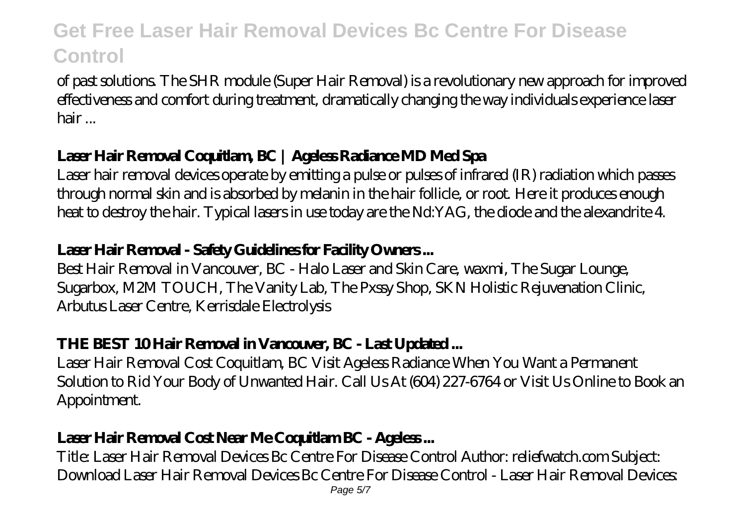of past solutions. The SHR module (Super Hair Removal) is a revolutionary new approach for improved effectiveness and comfort during treatment, dramatically changing the way individuals experience laser hair ...

### **Laser Hair Removal Coquitlam, BC | Ageless Radiance MD Med Spa**

Laser hair removal devices operate by emitting a pulse or pulses of infrared (IR) radiation which passes through normal skin and is absorbed by melanin in the hair follicle, or root. Here it produces enough heat to destroy the hair. Typical lasers in use today are the Nd:YAG, the diode and the alexandrite 4.

#### **Laser Hair Removal - Safety Guidelines for Facility Owners ...**

Best Hair Removal in Vancouver, BC - Halo Laser and Skin Care, waxmi, The Sugar Lounge, Sugarbox, M2M TOUCH, The Vanity Lab, The Pxssy Shop, SKN Holistic Rejuvenation Clinic, Arbutus Laser Centre, Kerrisdale Electrolysis

#### **THE BEST 10 Hair Removal in Vancouver, BC - Last Updated ...**

Laser Hair Removal Cost Coquitlam, BC Visit Ageless Radiance When You Want a Permanent Solution to Rid Your Body of Unwanted Hair. Call Us At (604) 227-6764 or Visit Us Online to Book an Appointment.

### **Laser Hair Removal Cost Near Me Coquitlam BC - Ageless ...**

Title: Laser Hair Removal Devices Bc Centre For Disease Control Author: reliefwatch.com Subject: Download Laser Hair Removal Devices Bc Centre For Disease Control - Laser Hair Removal Devices: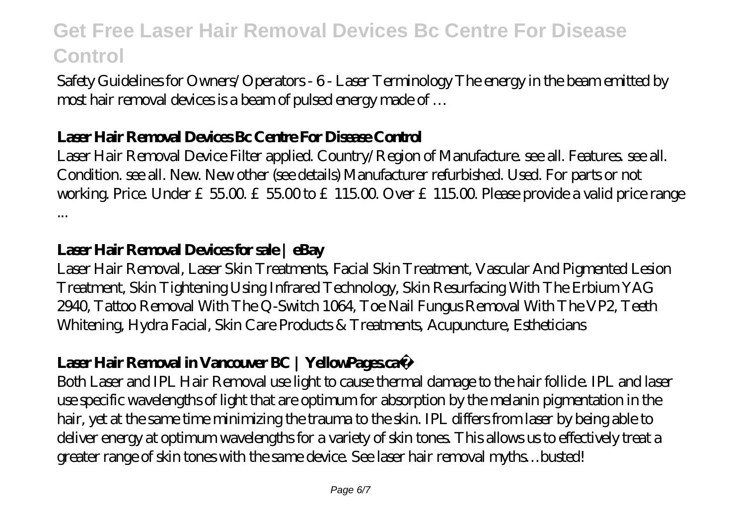Safety Guidelines for Owners/Operators - 6 - Laser Terminology The energy in the beam emitted by most hair removal devices is a beam of pulsed energy made of …

#### **Laser Hair Removal Devices Bc Centre For Disease Control**

Laser Hair Removal Device Filter applied. Country/Region of Manufacture. see all. Features. see all. Condition. see all. New. New other (see details) Manufacturer refurbished. Used. For parts or not working. Price. Under  $£5500 £5500 to £11500$  Over  $£11500$  Please provide a valid price range ...

#### **Laser Hair Removal Devices for sale | eBay**

Laser Hair Removal, Laser Skin Treatments, Facial Skin Treatment, Vascular And Pigmented Lesion Treatment, Skin Tightening Using Infrared Technology, Skin Resurfacing With The Erbium YAG 2940, Tattoo Removal With The Q-Switch 1064, Toe Nail Fungus Removal With The VP2, Teeth Whitening, Hydra Facial, Skin Care Products & Treatments, Acupuncture, Estheticians

#### **Laser Hair Removal in Vancouver BC | YellowPages.ca™**

Both Laser and IPL Hair Removal use light to cause thermal damage to the hair follicle. IPL and laser use specific wavelengths of light that are optimum for absorption by the melanin pigmentation in the hair, yet at the same time minimizing the trauma to the skin. IPL differs from laser by being able to deliver energy at optimum wavelengths for a variety of skin tones. This allows us to effectively treat a greater range of skin tones with the same device. See laser hair removal myths…busted!